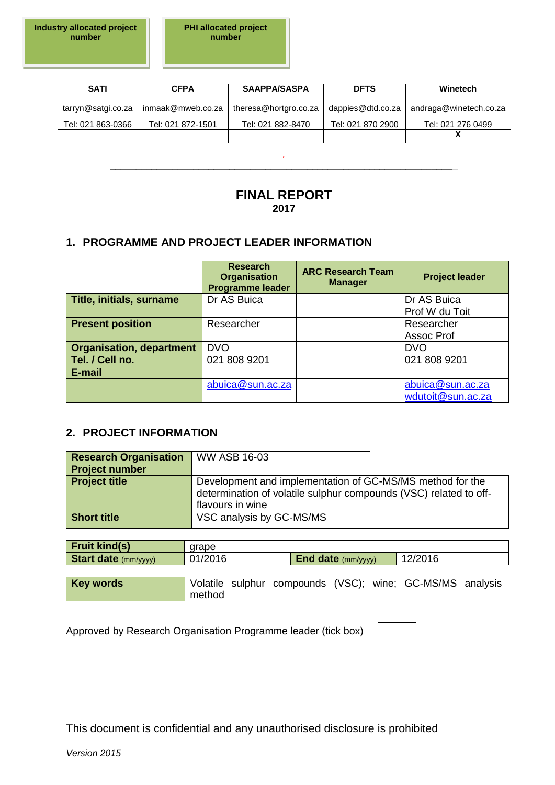| <b>SATI</b>        | <b>CFPA</b>       | <b>SAAPPA/SASPA</b>   | <b>DFTS</b>       | Winetech               |
|--------------------|-------------------|-----------------------|-------------------|------------------------|
| tarryn@satgi.co.za | inmaak@mweb.co.za | theresa@hortgro.co.za | dappies@dtd.co.za | andraga@winetech.co.za |
| Tel: 021 863-0366  | Tel: 021 872-1501 | Tel: 021 882-8470     | Tel: 021 870 2900 | Tel: 021 276 0499      |
|                    |                   |                       |                   |                        |

*.* \_\_\_\_\_\_\_\_\_\_\_\_\_\_\_\_\_\_\_\_\_\_\_\_\_\_\_\_\_\_\_\_\_\_\_\_\_\_\_\_\_\_\_\_\_\_\_\_\_\_\_\_\_\_\_\_\_\_\_\_\_\_\_\_\_\_**\_**

# **FINAL REPORT 2017**

## **1. PROGRAMME AND PROJECT LEADER INFORMATION**

|                                 | <b>Research</b><br><b>Organisation</b><br>Programme leader | <b>ARC Research Team</b><br><b>Manager</b> | <b>Project leader</b>                 |
|---------------------------------|------------------------------------------------------------|--------------------------------------------|---------------------------------------|
| Title, initials, surname        | Dr AS Buica                                                |                                            | Dr AS Buica                           |
|                                 |                                                            |                                            | Prof W du Toit                        |
| <b>Present position</b>         | Researcher                                                 |                                            | Researcher                            |
|                                 |                                                            |                                            | Assoc Prof                            |
| <b>Organisation, department</b> | <b>DVO</b>                                                 |                                            | <b>DVO</b>                            |
| Tel. / Cell no.                 | 021 808 9201                                               |                                            | 021 808 9201                          |
| E-mail                          |                                                            |                                            |                                       |
|                                 | abuica@sun.ac.za                                           |                                            | abuica@sun.ac.za<br>wdutoit@sun.ac.za |

## **2. PROJECT INFORMATION**

| <b>Research Organisation</b> | $\sqrt{\ }$ WW ASB 16-03                                                                                                                           |  |  |  |  |
|------------------------------|----------------------------------------------------------------------------------------------------------------------------------------------------|--|--|--|--|
| <b>Project number</b>        |                                                                                                                                                    |  |  |  |  |
| <b>Project title</b>         | Development and implementation of GC-MS/MS method for the<br>determination of volatile sulphur compounds (VSC) related to off-<br>flavours in wine |  |  |  |  |
| <b>Short title</b>           | VSC analysis by GC-MS/MS                                                                                                                           |  |  |  |  |

| <b>Fruit kind(s)</b>        | arape   |  |                           |                                                           |  |
|-----------------------------|---------|--|---------------------------|-----------------------------------------------------------|--|
| <b>Start date</b> (mm/yyyy) | 01/2016 |  | <b>End date</b> (mm/yyyy) | 12/2016                                                   |  |
|                             |         |  |                           |                                                           |  |
| <b>Key words</b>            |         |  |                           | Volatile sulphur compounds (VSC); wine; GC-MS/MS analysis |  |
|                             | method  |  |                           |                                                           |  |

Approved by Research Organisation Programme leader (tick box)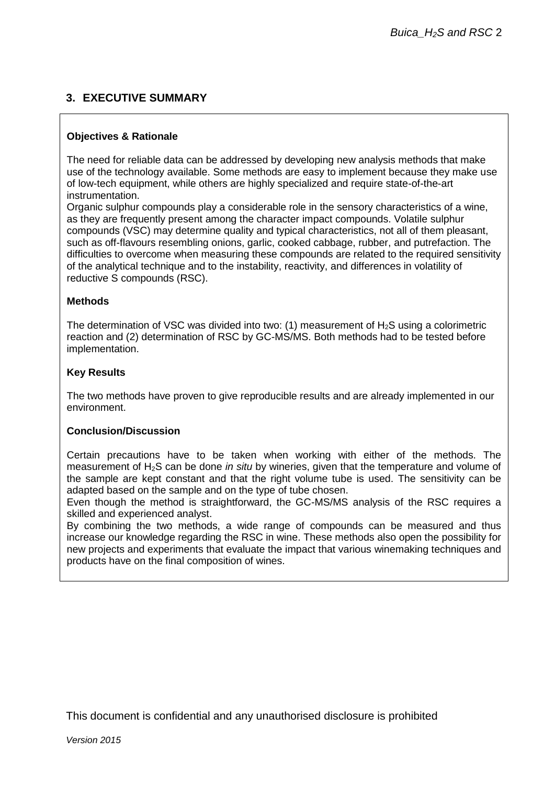# **3. EXECUTIVE SUMMARY**

#### **Objectives & Rationale**

The need for reliable data can be addressed by developing new analysis methods that make use of the technology available. Some methods are easy to implement because they make use of low-tech equipment, while others are highly specialized and require state-of-the-art instrumentation.

Organic sulphur compounds play a considerable role in the sensory characteristics of a wine, as they are frequently present among the character impact compounds. Volatile sulphur compounds (VSC) may determine quality and typical characteristics, not all of them pleasant, such as off-flavours resembling onions, garlic, cooked cabbage, rubber, and putrefaction. The difficulties to overcome when measuring these compounds are related to the required sensitivity of the analytical technique and to the instability, reactivity, and differences in volatility of reductive S compounds (RSC).

#### **Methods**

The determination of VSC was divided into two: (1) measurement of  $H_2S$  using a colorimetric reaction and (2) determination of RSC by GC-MS/MS. Both methods had to be tested before implementation.

#### **Key Results**

The two methods have proven to give reproducible results and are already implemented in our environment.

#### **Conclusion/Discussion**

Certain precautions have to be taken when working with either of the methods. The measurement of H2S can be done *in situ* by wineries, given that the temperature and volume of the sample are kept constant and that the right volume tube is used. The sensitivity can be adapted based on the sample and on the type of tube chosen.

Even though the method is straightforward, the GC-MS/MS analysis of the RSC requires a skilled and experienced analyst.

By combining the two methods, a wide range of compounds can be measured and thus increase our knowledge regarding the RSC in wine. These methods also open the possibility for new projects and experiments that evaluate the impact that various winemaking techniques and products have on the final composition of wines.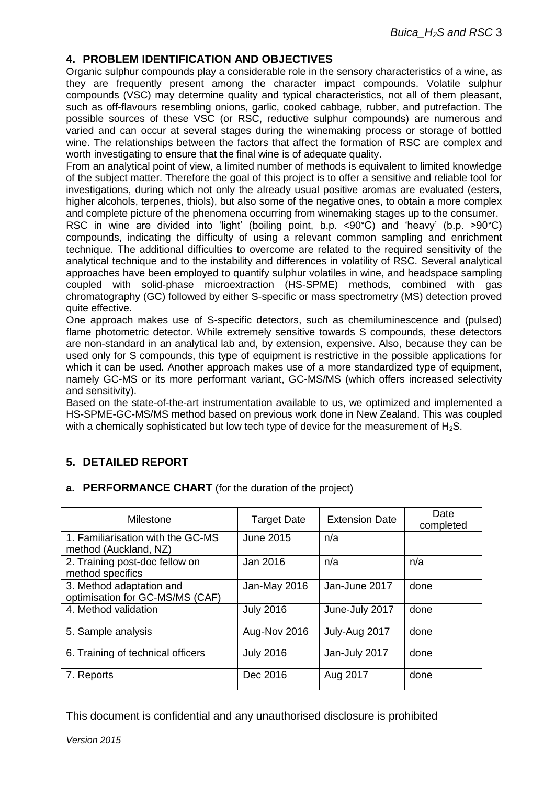# **4. PROBLEM IDENTIFICATION AND OBJECTIVES**

Organic sulphur compounds play a considerable role in the sensory characteristics of a wine, as they are frequently present among the character impact compounds. Volatile sulphur compounds (VSC) may determine quality and typical characteristics, not all of them pleasant, such as off-flavours resembling onions, garlic, cooked cabbage, rubber, and putrefaction. The possible sources of these VSC (or RSC, reductive sulphur compounds) are numerous and varied and can occur at several stages during the winemaking process or storage of bottled wine. The relationships between the factors that affect the formation of RSC are complex and worth investigating to ensure that the final wine is of adequate quality.

From an analytical point of view, a limited number of methods is equivalent to limited knowledge of the subject matter. Therefore the goal of this project is to offer a sensitive and reliable tool for investigations, during which not only the already usual positive aromas are evaluated (esters, higher alcohols, terpenes, thiols), but also some of the negative ones, to obtain a more complex and complete picture of the phenomena occurring from winemaking stages up to the consumer.

RSC in wine are divided into 'light' (boiling point, b.p. <90°C) and 'heavy' (b.p. >90°C) compounds, indicating the difficulty of using a relevant common sampling and enrichment technique. The additional difficulties to overcome are related to the required sensitivity of the analytical technique and to the instability and differences in volatility of RSC. Several analytical approaches have been employed to quantify sulphur volatiles in wine, and headspace sampling coupled with solid-phase microextraction (HS-SPME) methods, combined with gas chromatography (GC) followed by either S-specific or mass spectrometry (MS) detection proved quite effective.

One approach makes use of S-specific detectors, such as chemiluminescence and (pulsed) flame photometric detector. While extremely sensitive towards S compounds, these detectors are non-standard in an analytical lab and, by extension, expensive. Also, because they can be used only for S compounds, this type of equipment is restrictive in the possible applications for which it can be used. Another approach makes use of a more standardized type of equipment, namely GC-MS or its more performant variant, GC-MS/MS (which offers increased selectivity and sensitivity).

Based on the state-of-the-art instrumentation available to us, we optimized and implemented a HS-SPME-GC-MS/MS method based on previous work done in New Zealand. This was coupled with a chemically sophisticated but low tech type of device for the measurement of  $H_2S$ .

# **5. DETAILED REPORT**

#### **a. PERFORMANCE CHART** (for the duration of the project)

| Milestone                                                   | <b>Target Date</b> | <b>Extension Date</b> | Date<br>completed |
|-------------------------------------------------------------|--------------------|-----------------------|-------------------|
| 1. Familiarisation with the GC-MS<br>method (Auckland, NZ)  | <b>June 2015</b>   | n/a                   |                   |
| 2. Training post-doc fellow on<br>method specifics          | Jan 2016           | n/a                   | n/a               |
| 3. Method adaptation and<br>optimisation for GC-MS/MS (CAF) | Jan-May 2016       | Jan-June 2017         | done              |
| 4. Method validation                                        | <b>July 2016</b>   | June-July 2017        | done              |
| 5. Sample analysis                                          | Aug-Nov 2016       | July-Aug 2017         | done              |
| 6. Training of technical officers                           | <b>July 2016</b>   | Jan-July 2017         | done              |
| 7. Reports                                                  | Dec 2016           | Aug 2017              | done              |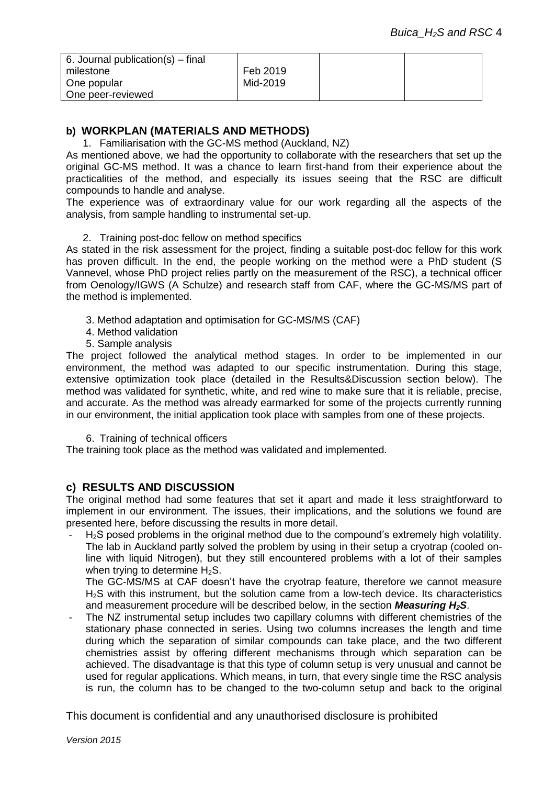| 6. Journal publication(s) $-$ final |          |  |
|-------------------------------------|----------|--|
| milestone                           | Feb 2019 |  |
| One popular                         | Mid-2019 |  |
| One peer-reviewed                   |          |  |

## **b) WORKPLAN (MATERIALS AND METHODS)**

1. Familiarisation with the GC-MS method (Auckland, NZ)

As mentioned above, we had the opportunity to collaborate with the researchers that set up the original GC-MS method. It was a chance to learn first-hand from their experience about the practicalities of the method, and especially its issues seeing that the RSC are difficult compounds to handle and analyse.

The experience was of extraordinary value for our work regarding all the aspects of the analysis, from sample handling to instrumental set-up.

#### 2. Training post-doc fellow on method specifics

As stated in the risk assessment for the project, finding a suitable post-doc fellow for this work has proven difficult. In the end, the people working on the method were a PhD student (S Vannevel, whose PhD project relies partly on the measurement of the RSC), a technical officer from Oenology/IGWS (A Schulze) and research staff from CAF, where the GC-MS/MS part of the method is implemented.

- 3. Method adaptation and optimisation for GC-MS/MS (CAF)
- 4. Method validation
- 5. Sample analysis

The project followed the analytical method stages. In order to be implemented in our environment, the method was adapted to our specific instrumentation. During this stage, extensive optimization took place (detailed in the Results&Discussion section below). The method was validated for synthetic, white, and red wine to make sure that it is reliable, precise, and accurate. As the method was already earmarked for some of the projects currently running in our environment, the initial application took place with samples from one of these projects.

6. Training of technical officers

The training took place as the method was validated and implemented.

## **c) RESULTS AND DISCUSSION**

The original method had some features that set it apart and made it less straightforward to implement in our environment. The issues, their implications, and the solutions we found are presented here, before discussing the results in more detail.

H<sub>2</sub>S posed problems in the original method due to the compound's extremely high volatility. The lab in Auckland partly solved the problem by using in their setup a cryotrap (cooled online with liquid Nitrogen), but they still encountered problems with a lot of their samples when trying to determine  $H_2S$ .

The GC-MS/MS at CAF doesn't have the cryotrap feature, therefore we cannot measure H2S with this instrument, but the solution came from a low-tech device. Its characteristics and measurement procedure will be described below, in the section *Measuring H2S*.

The NZ instrumental setup includes two capillary columns with different chemistries of the stationary phase connected in series. Using two columns increases the length and time during which the separation of similar compounds can take place, and the two different chemistries assist by offering different mechanisms through which separation can be achieved. The disadvantage is that this type of column setup is very unusual and cannot be used for regular applications. Which means, in turn, that every single time the RSC analysis is run, the column has to be changed to the two-column setup and back to the original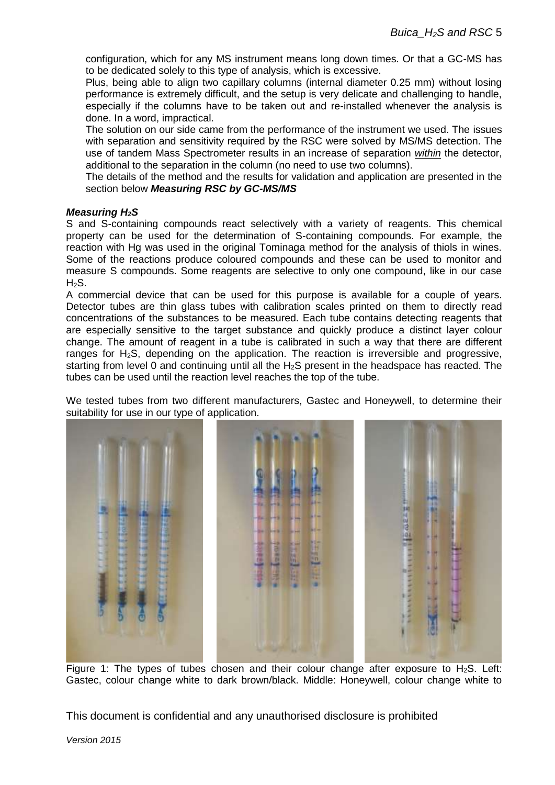configuration, which for any MS instrument means long down times. Or that a GC-MS has to be dedicated solely to this type of analysis, which is excessive.

Plus, being able to align two capillary columns (internal diameter 0.25 mm) without losing performance is extremely difficult, and the setup is very delicate and challenging to handle, especially if the columns have to be taken out and re-installed whenever the analysis is done. In a word, impractical.

The solution on our side came from the performance of the instrument we used. The issues with separation and sensitivity required by the RSC were solved by MS/MS detection. The use of tandem Mass Spectrometer results in an increase of separation *within* the detector, additional to the separation in the column (no need to use two columns).

The details of the method and the results for validation and application are presented in the section below *Measuring RSC by GC-MS/MS*

#### *Measuring H2S*

S and S-containing compounds react selectively with a variety of reagents. This chemical property can be used for the determination of S-containing compounds. For example, the reaction with Hg was used in the original Tominaga method for the analysis of thiols in wines. Some of the reactions produce coloured compounds and these can be used to monitor and measure S compounds. Some reagents are selective to only one compound, like in our case  $H_2S$ .

A commercial device that can be used for this purpose is available for a couple of years. Detector tubes are thin glass tubes with calibration scales printed on them to directly read concentrations of the substances to be measured. Each tube contains detecting reagents that are especially sensitive to the target substance and quickly produce a distinct layer colour change. The amount of reagent in a tube is calibrated in such a way that there are different ranges for H<sub>2</sub>S, depending on the application. The reaction is irreversible and progressive, starting from level 0 and continuing until all the  $H_2S$  present in the headspace has reacted. The tubes can be used until the reaction level reaches the top of the tube.

We tested tubes from two different manufacturers, Gastec and Honeywell, to determine their suitability for use in our type of application.



Figure 1: The types of tubes chosen and their colour change after exposure to  $H_2S$ . Left: Gastec, colour change white to dark brown/black. Middle: Honeywell, colour change white to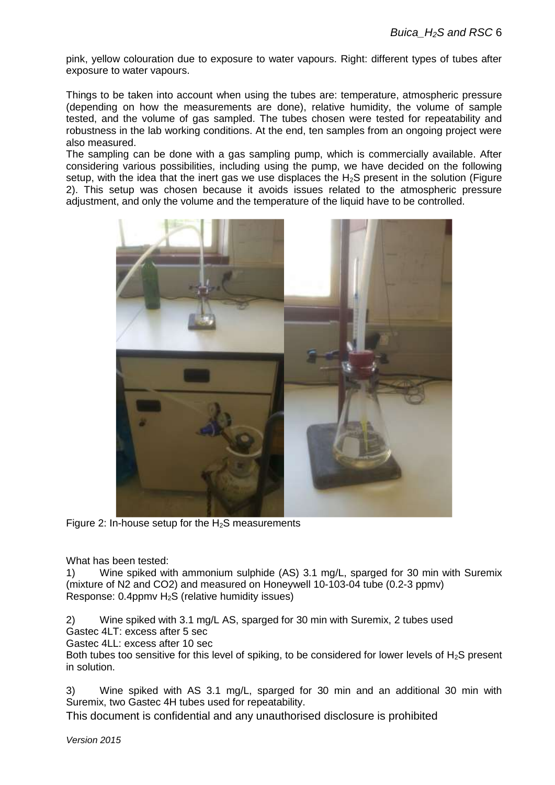pink, yellow colouration due to exposure to water vapours. Right: different types of tubes after exposure to water vapours.

Things to be taken into account when using the tubes are: temperature, atmospheric pressure (depending on how the measurements are done), relative humidity, the volume of sample tested, and the volume of gas sampled. The tubes chosen were tested for repeatability and robustness in the lab working conditions. At the end, ten samples from an ongoing project were also measured.

The sampling can be done with a gas sampling pump, which is commercially available. After considering various possibilities, including using the pump, we have decided on the following setup, with the idea that the inert gas we use displaces the  $H_2S$  present in the solution (Figure 2). This setup was chosen because it avoids issues related to the atmospheric pressure adjustment, and only the volume and the temperature of the liquid have to be controlled.



Figure 2: In-house setup for the  $H_2S$  measurements

What has been tested:

1) Wine spiked with ammonium sulphide (AS) 3.1 mg/L, sparged for 30 min with Suremix (mixture of N2 and CO2) and measured on Honeywell 10-103-04 tube (0.2-3 ppmv) Response: 0.4ppmv H2S (relative humidity issues)

2) Wine spiked with 3.1 mg/L AS, sparged for 30 min with Suremix, 2 tubes used Gastec 4LT: excess after 5 sec

Gastec 4LL: excess after 10 sec

Both tubes too sensitive for this level of spiking, to be considered for lower levels of  $H_2S$  present in solution.

3) Wine spiked with AS 3.1 mg/L, sparged for 30 min and an additional 30 min with Suremix, two Gastec 4H tubes used for repeatability.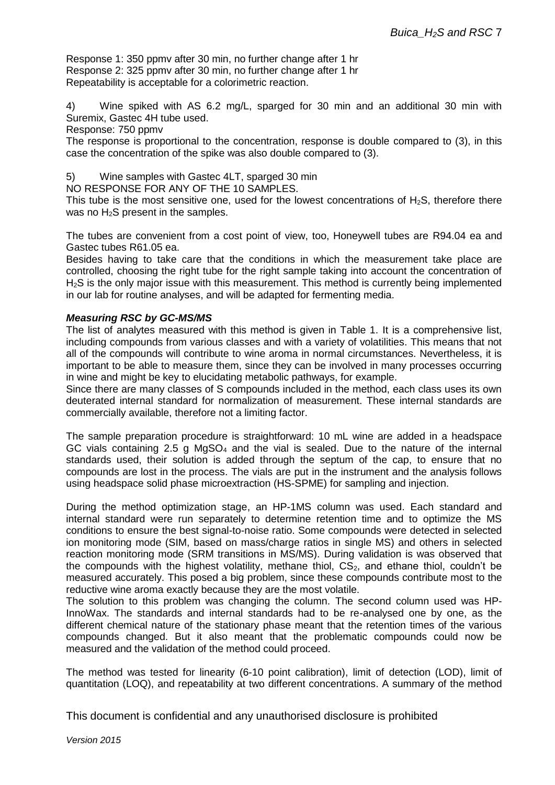Response 1: 350 ppmv after 30 min, no further change after 1 hr Response 2: 325 ppmv after 30 min, no further change after 1 hr Repeatability is acceptable for a colorimetric reaction.

4) Wine spiked with AS 6.2 mg/L, sparged for 30 min and an additional 30 min with Suremix, Gastec 4H tube used.

Response: 750 ppmv

The response is proportional to the concentration, response is double compared to (3), in this case the concentration of the spike was also double compared to (3).

5) Wine samples with Gastec 4LT, sparged 30 min

NO RESPONSE FOR ANY OF THE 10 SAMPLES.

This tube is the most sensitive one, used for the lowest concentrations of  $H_2S$ , therefore there was no  $H_2S$  present in the samples.

The tubes are convenient from a cost point of view, too, Honeywell tubes are R94.04 ea and Gastec tubes R61.05 ea.

Besides having to take care that the conditions in which the measurement take place are controlled, choosing the right tube for the right sample taking into account the concentration of H<sub>2</sub>S is the only major issue with this measurement. This method is currently being implemented in our lab for routine analyses, and will be adapted for fermenting media.

#### *Measuring RSC by GC-MS/MS*

The list of analytes measured with this method is given in Table 1. It is a comprehensive list, including compounds from various classes and with a variety of volatilities. This means that not all of the compounds will contribute to wine aroma in normal circumstances. Nevertheless, it is important to be able to measure them, since they can be involved in many processes occurring in wine and might be key to elucidating metabolic pathways, for example.

Since there are many classes of S compounds included in the method, each class uses its own deuterated internal standard for normalization of measurement. These internal standards are commercially available, therefore not a limiting factor.

The sample preparation procedure is straightforward: 10 mL wine are added in a headspace GC vials containing 2.5 g  $MqSO<sub>4</sub>$  and the vial is sealed. Due to the nature of the internal standards used, their solution is added through the septum of the cap, to ensure that no compounds are lost in the process. The vials are put in the instrument and the analysis follows using headspace solid phase microextraction (HS-SPME) for sampling and injection.

During the method optimization stage, an HP-1MS column was used. Each standard and internal standard were run separately to determine retention time and to optimize the MS conditions to ensure the best signal-to-noise ratio. Some compounds were detected in selected ion monitoring mode (SIM, based on mass/charge ratios in single MS) and others in selected reaction monitoring mode (SRM transitions in MS/MS). During validation is was observed that the compounds with the highest volatility, methane thiol,  $CS<sub>2</sub>$ , and ethane thiol, couldn't be measured accurately. This posed a big problem, since these compounds contribute most to the reductive wine aroma exactly because they are the most volatile.

The solution to this problem was changing the column. The second column used was HP-InnoWax. The standards and internal standards had to be re-analysed one by one, as the different chemical nature of the stationary phase meant that the retention times of the various compounds changed. But it also meant that the problematic compounds could now be measured and the validation of the method could proceed.

The method was tested for linearity (6-10 point calibration), limit of detection (LOD), limit of quantitation (LOQ), and repeatability at two different concentrations. A summary of the method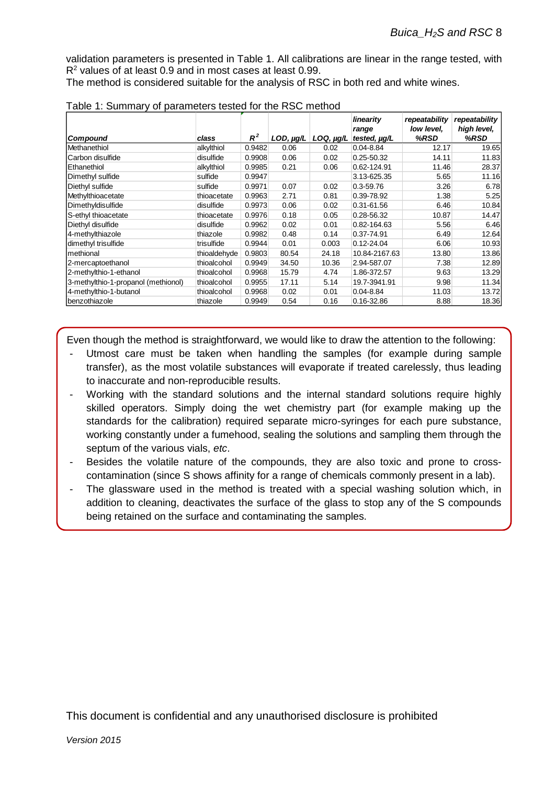validation parameters is presented in Table 1. All calibrations are linear in the range tested, with R<sup>2</sup> values of at least 0.9 and in most cases at least 0.99.

The method is considered suitable for the analysis of RSC in both red and white wines.

|                                     |              |        |                |                | linearity<br>range | repeatability<br>low level. | repeatability<br>high level, |
|-------------------------------------|--------------|--------|----------------|----------------|--------------------|-----------------------------|------------------------------|
| Compound                            | class        | $R^2$  | $LOD, \mu g/L$ | $LOQ, \mu g/L$ | tested, µg/L       | %RSD                        | %RSD                         |
| <b>IMethanethiol</b>                | alkylthiol   | 0.9482 | 0.06           | 0.02           | $0.04 - 8.84$      | 12.17                       | 19.65                        |
| lCarbon disulfide                   | disulfide    | 0.9908 | 0.06           | 0.02           | $0.25 - 50.32$     | 14.11                       | 11.83                        |
| Ethanethiol                         | alkylthiol   | 0.9985 | 0.21           | 0.06           | 0.62-124.91        | 11.46                       | 28.37                        |
| Dimethyl sulfide                    | sulfide      | 0.9947 |                |                | 3.13-625.35        | 5.65                        | 11.16                        |
| Diethyl sulfide                     | sulfide      | 0.9971 | 0.07           | 0.02           | $0.3 - 59.76$      | 3.26                        | 6.78                         |
| Methylthioacetate                   | thioacetate  | 0.9963 | 2.71           | 0.81           | 0.39-78.92         | 1.38                        | 5.25                         |
| Dimethyldisulfide                   | disulfide    | 0.9973 | 0.06           | 0.02           | 0.31-61.56         | 6.46                        | 10.84                        |
| S-ethyl thioacetate                 | thioacetate  | 0.9976 | 0.18           | 0.05           | 0.28-56.32         | 10.87                       | 14.47                        |
| Diethyl disulfide                   | disulfide    | 0.9962 | 0.02           | 0.01           | 0.82-164.63        | 5.56                        | 6.46                         |
| 4-methylthiazole                    | thiazole     | 0.9982 | 0.48           | 0.14           | 0.37-74.91         | 6.49                        | 12.64                        |
| dimethyl trisulfide                 | trisulfide   | 0.9944 | 0.01           | 0.003          | $0.12 - 24.04$     | 6.06                        | 10.93                        |
| methional                           | thioaldehyde | 0.9803 | 80.54          | 24.18          | 10.84-2167.63      | 13.80                       | 13.86                        |
| 2-mercaptoethanol                   | thioalcohol  | 0.9949 | 34.50          | 10.36          | 2.94-587.07        | 7.38                        | 12.89                        |
| 2-methylthio-1-ethanol              | thioalcohol  | 0.9968 | 15.79          | 4.74           | 1.86-372.57        | 9.63                        | 13.29                        |
| 3-methylthio-1-propanol (methionol) | thioalcohol  | 0.9955 | 17.11          | 5.14           | 19.7-3941.91       | 9.98                        | 11.34                        |
| 4-methylthio-1-butanol              | thioalcohol  | 0.9968 | 0.02           | 0.01           | $0.04 - 8.84$      | 11.03                       | 13.72                        |
| benzothiazole                       | thiazole     | 0.9949 | 0.54           | 0.16           | 0.16-32.86         | 8.88                        | 18.36                        |

| Table 1: Summary of parameters tested for the RSC method |  |
|----------------------------------------------------------|--|
|----------------------------------------------------------|--|

Even though the method is straightforward, we would like to draw the attention to the following:

- Utmost care must be taken when handling the samples (for example during sample transfer), as the most volatile substances will evaporate if treated carelessly, thus leading to inaccurate and non-reproducible results.
- Working with the standard solutions and the internal standard solutions require highly skilled operators. Simply doing the wet chemistry part (for example making up the standards for the calibration) required separate micro-syringes for each pure substance, working constantly under a fumehood, sealing the solutions and sampling them through the septum of the various vials, *etc*.
- Besides the volatile nature of the compounds, they are also toxic and prone to crosscontamination (since S shows affinity for a range of chemicals commonly present in a lab).
- The glassware used in the method is treated with a special washing solution which, in addition to cleaning, deactivates the surface of the glass to stop any of the S compounds being retained on the surface and contaminating the samples.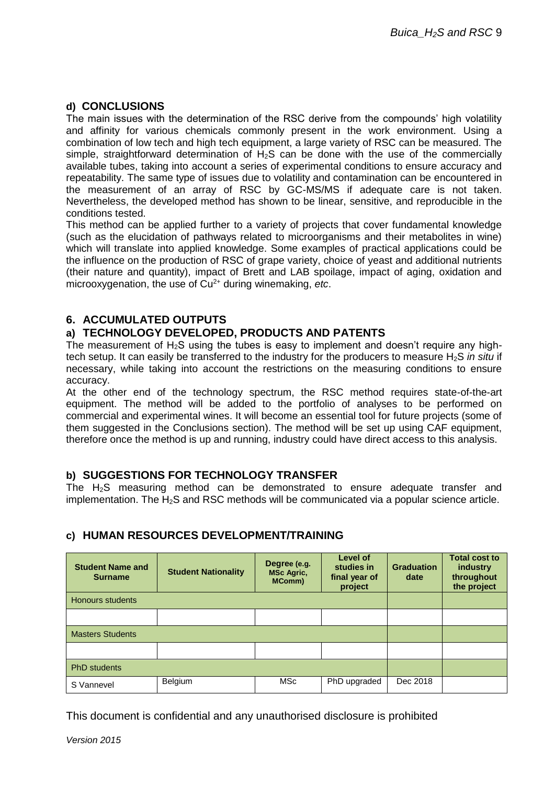### **d) CONCLUSIONS**

The main issues with the determination of the RSC derive from the compounds' high volatility and affinity for various chemicals commonly present in the work environment. Using a combination of low tech and high tech equipment, a large variety of RSC can be measured. The simple, straightforward determination of  $H_2S$  can be done with the use of the commercially available tubes, taking into account a series of experimental conditions to ensure accuracy and repeatability. The same type of issues due to volatility and contamination can be encountered in the measurement of an array of RSC by GC-MS/MS if adequate care is not taken. Nevertheless, the developed method has shown to be linear, sensitive, and reproducible in the conditions tested.

This method can be applied further to a variety of projects that cover fundamental knowledge (such as the elucidation of pathways related to microorganisms and their metabolites in wine) which will translate into applied knowledge. Some examples of practical applications could be the influence on the production of RSC of grape variety, choice of yeast and additional nutrients (their nature and quantity), impact of Brett and LAB spoilage, impact of aging, oxidation and microoxygenation, the use of Cu2+ during winemaking, *etc*.

## **6. ACCUMULATED OUTPUTS**

## **a) TECHNOLOGY DEVELOPED, PRODUCTS AND PATENTS**

The measurement of  $H_2S$  using the tubes is easy to implement and doesn't require any hightech setup. It can easily be transferred to the industry for the producers to measure H<sub>2</sub>S *in situ* if necessary, while taking into account the restrictions on the measuring conditions to ensure accuracy.

At the other end of the technology spectrum, the RSC method requires state-of-the-art equipment. The method will be added to the portfolio of analyses to be performed on commercial and experimental wines. It will become an essential tool for future projects (some of them suggested in the Conclusions section). The method will be set up using CAF equipment, therefore once the method is up and running, industry could have direct access to this analysis.

#### **b) SUGGESTIONS FOR TECHNOLOGY TRANSFER**

The H2S measuring method can be demonstrated to ensure adequate transfer and implementation. The  $H_2S$  and RSC methods will be communicated via a popular science article.

## **c) HUMAN RESOURCES DEVELOPMENT/TRAINING**

| <b>Student Name and</b><br><b>Surname</b> | <b>Student Nationality</b> | Degree (e.g.<br><b>MSc Agric,</b><br><b>MComm</b> ) | Level of<br>studies in<br>final year of<br>project | <b>Graduation</b><br>date | <b>Total cost to</b><br>industry<br>throughout<br>the project |
|-------------------------------------------|----------------------------|-----------------------------------------------------|----------------------------------------------------|---------------------------|---------------------------------------------------------------|
| <b>Honours students</b>                   |                            |                                                     |                                                    |                           |                                                               |
|                                           |                            |                                                     |                                                    |                           |                                                               |
| <b>Masters Students</b>                   |                            |                                                     |                                                    |                           |                                                               |
|                                           |                            |                                                     |                                                    |                           |                                                               |
| <b>PhD</b> students                       |                            |                                                     |                                                    |                           |                                                               |
| S Vannevel                                | Belgium                    | MSc                                                 | PhD upgraded                                       | Dec 2018                  |                                                               |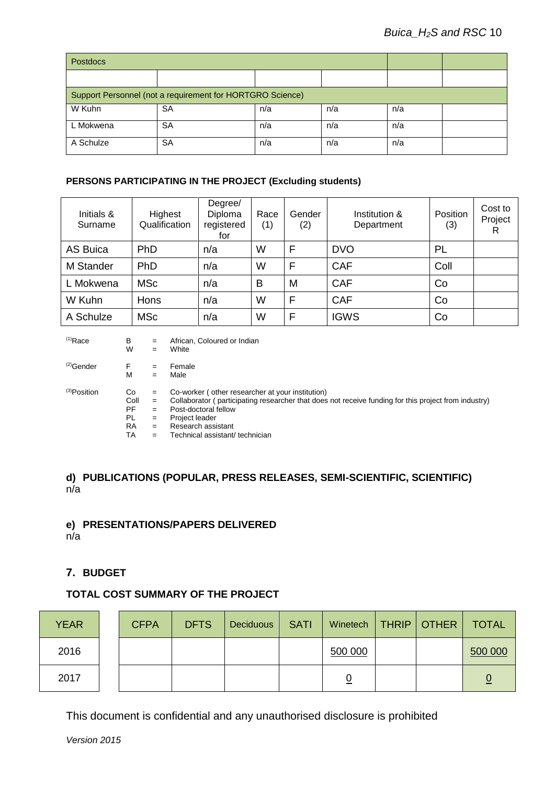| <b>Postdocs</b>                                           |           |     |     |     |  |
|-----------------------------------------------------------|-----------|-----|-----|-----|--|
|                                                           |           |     |     |     |  |
| Support Personnel (not a requirement for HORTGRO Science) |           |     |     |     |  |
| W Kuhn                                                    | <b>SA</b> | n/a | n/a | n/a |  |
| L Mokwena                                                 | SA        | n/a | n/a | n/a |  |
| A Schulze                                                 | SA        | n/a | n/a | n/a |  |

#### **PERSONS PARTICIPATING IN THE PROJECT (Excluding students)**

| Initials &<br>Surname | Highest<br>Qualification | Degree/<br>Diploma<br>registered<br>for | Race<br>(1) | Gender<br>(2) | Institution &<br>Department | <b>Position</b><br>(3) | Cost to<br>Project<br>R |
|-----------------------|--------------------------|-----------------------------------------|-------------|---------------|-----------------------------|------------------------|-------------------------|
| <b>AS Buica</b>       | PhD                      | n/a                                     | W           | F             | <b>DVO</b>                  | PL                     |                         |
| <b>M</b> Stander      | PhD                      | n/a                                     | W           | F             | <b>CAF</b>                  | Coll                   |                         |
| L Mokwena             | <b>MSc</b>               | n/a                                     | B           | M             | <b>CAF</b>                  | Co                     |                         |
| W Kuhn                | Hons                     | n/a                                     | W           | F             | <b>CAF</b>                  | Co                     |                         |
| A Schulze             | <b>MSc</b>               | n/a                                     | W           | F             | <b>IGWS</b>                 | Co                     |                         |

| $(1)$ Race   | B         | $=$ | African, Coloured or Indian                                                                          |
|--------------|-----------|-----|------------------------------------------------------------------------------------------------------|
|              | W         | $=$ | White                                                                                                |
| $(2)$ Gender | F         | $=$ | Female                                                                                               |
|              | М         | $=$ | Male                                                                                                 |
| (3) Position | Co        | $=$ | Co-worker (other researcher at your institution)                                                     |
|              | Coll      | $=$ | Collaborator (participating researcher that does not receive funding for this project from industry) |
|              | PF        | $=$ | Post-doctoral fellow                                                                                 |
|              | PL        | $=$ | Project leader                                                                                       |
|              | <b>RA</b> | $=$ | Research assistant                                                                                   |
|              | TA        | $=$ | Technical assistant/ technician                                                                      |

### **d) PUBLICATIONS (POPULAR, PRESS RELEASES, SEMI-SCIENTIFIC, SCIENTIFIC)**  n/a

## **e) PRESENTATIONS/PAPERS DELIVERED**

n/a

### **7. BUDGET**

#### **TOTAL COST SUMMARY OF THE PROJECT**

| <b>YEAR</b> | <b>CFPA</b> | <b>DFTS</b> | <b>Deciduous</b> | <b>SATI</b> | Winetech   THRIP   OTHER |  | <b>TOTAL</b> |
|-------------|-------------|-------------|------------------|-------------|--------------------------|--|--------------|
| 2016        |             |             |                  |             | 500 000                  |  | 500 000      |
| 2017        |             |             |                  |             |                          |  |              |

This document is confidential and any unauthorised disclosure is prohibited

*Version 2015*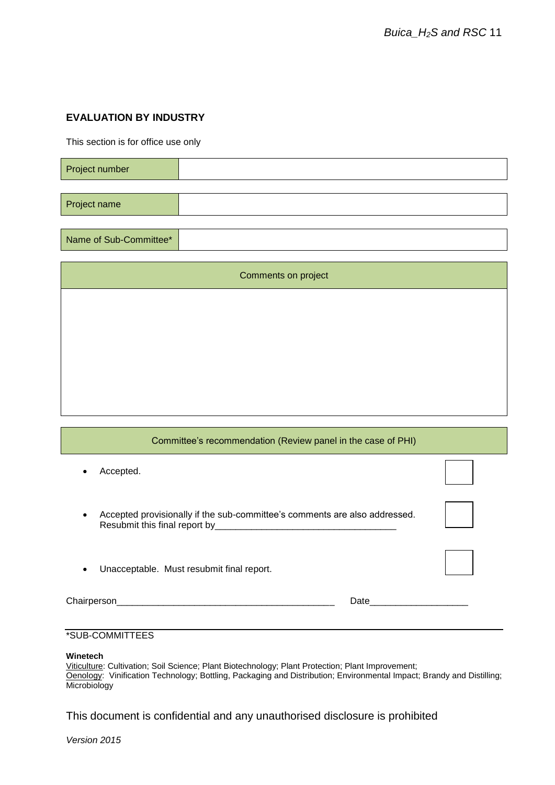### **EVALUATION BY INDUSTRY**

This section is for office use only

| Project number |  |
|----------------|--|
|                |  |
| Project name   |  |

Name of Sub-Committee\*

| Comments on project |
|---------------------|
|                     |
|                     |
|                     |
|                     |
|                     |

| Committee's recommendation (Review panel in the case of PHI)                    |              |
|---------------------------------------------------------------------------------|--------------|
| Accepted.                                                                       |              |
| Accepted provisionally if the sub-committee's comments are also addressed.<br>٠ |              |
| Unacceptable. Must resubmit final report.                                       |              |
|                                                                                 | Date _______ |

## \*SUB-COMMITTEES

#### **Winetech**

Viticulture: Cultivation; Soil Science; Plant Biotechnology; Plant Protection; Plant Improvement; Oenology: Vinification Technology; Bottling, Packaging and Distribution; Environmental Impact; Brandy and Distilling; Microbiology